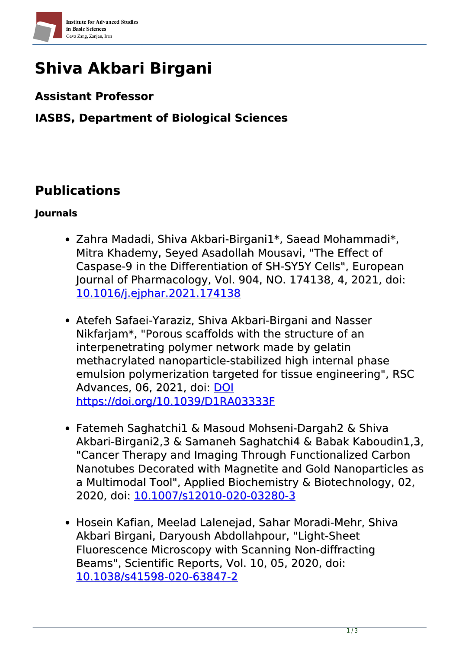

# **Shiva Akbari Birgani**

#### **Assistant Professor**

### **IASBS, Department of Biological Sciences**

## **Publications**

#### **Journals**

- Zahra Madadi, Shiva Akbari-Birgani1\*, Saead Mohammadi\*, Mitra Khademy, Seyed Asadollah Mousavi, "The Effect of Caspase-9 in the Differentiation of SH-SY5Y Cells", European Journal of Pharmacology, Vol. 904, NO. 174138, 4, 2021, doi: [10.1016/j.ejphar.2021.174138](https://www.doi.org/10.1016/j.ejphar.2021.174138)
- Atefeh Safaei-Yaraziz, Shiva Akbari-Birgani and Nasser Nikfarjam\*, "Porous scaffolds with the structure of an interpenetrating polymer network made by gelatin methacrylated nanoparticle-stabilized high internal phase emulsion polymerization targeted for tissue engineering", RSC Advances, 06, 2021, doi: [DOI](https://www.doi.org/DOI https://doi.org/10.1039/D1RA03333F) [https://doi.org/10.1039/D1RA03333F](https://www.doi.org/DOI https://doi.org/10.1039/D1RA03333F)
- Fatemeh Saghatchi1 & Masoud Mohseni-Dargah2 & Shiva Akbari-Birgani2,3 & Samaneh Saghatchi4 & Babak Kaboudin1,3, "Cancer Therapy and Imaging Through Functionalized Carbon Nanotubes Decorated with Magnetite and Gold Nanoparticles as a Multimodal Tool", Applied Biochemistry & Biotechnology, 02, 2020, doi: [10.1007/s12010-020-03280-3](https://www.doi.org/10.1007/s12010-020-03280-3)
- Hosein Kafian, Meelad Lalenejad, Sahar Moradi-Mehr, Shiva Akbari Birgani, Daryoush Abdollahpour, "Light-Sheet Fluorescence Microscopy with Scanning Non-diffracting Beams", Scientific Reports, Vol. 10, 05, 2020, doi: [10.1038/s41598-020-63847-2](https://www.doi.org/10.1038/s41598-020-63847-2)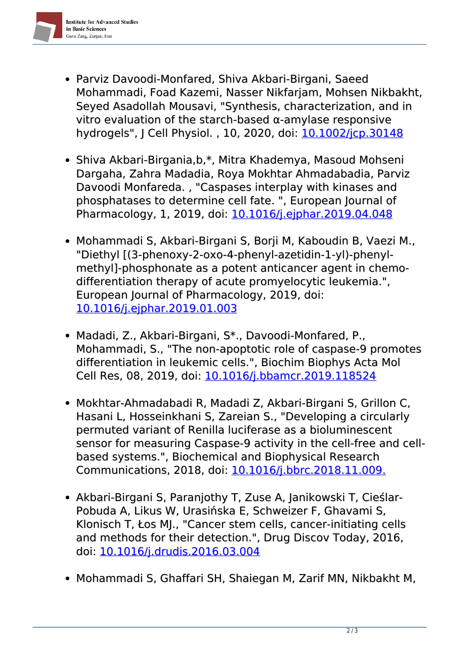

- Parviz Davoodi‐Monfared, Shiva Akbari‐Birgani, Saeed Mohammadi, Foad Kazemi, Nasser Nikfarjam, Mohsen Nikbakht, Seyed Asadollah Mousavi, "Synthesis, characterization, and in vitro evaluation of the starch‐based α‐amylase responsive hydrogels", J Cell Physiol., 10, 2020, doi: 10.1002/icp.30148
- Shiva Akbari-Birgania, b,\*, Mitra Khademya, Masoud Mohseni Dargaha, Zahra Madadia, Roya Mokhtar Ahmadabadia, Parviz Davoodi Monfareda. , "Caspases interplay with kinases and phosphatases to determine cell fate. ", European Journal of Pharmacology, 1, 2019, doi: [10.1016/j.ejphar.2019.04.048](https://www.doi.org/10.1016/j.ejphar.2019.04.048)
- Mohammadi S, Akbari-Birgani S, Borji M, Kaboudin B, Vaezi M., "Diethyl [(3-phenoxy-2-oxo-4-phenyl-azetidin-1-yl)-phenylmethyl]-phosphonate as a potent anticancer agent in chemodifferentiation therapy of acute promyelocytic leukemia.", European Journal of Pharmacology, 2019, doi: [10.1016/j.ejphar.2019.01.003](https://www.doi.org/10.1016/j.ejphar.2019.01.003)
- Madadi, Z., Akbari-Birgani, S\*., Davoodi-Monfared, P., Mohammadi, S., "The non-apoptotic role of caspase-9 promotes differentiation in leukemic cells.", Biochim Biophys Acta Mol Cell Res, 08, 2019, doi: [10.1016/j.bbamcr.2019.118524](https://www.doi.org/10.1016/j.bbamcr.2019.118524)
- Mokhtar-Ahmadabadi R, Madadi Z, Akbari-Birgani S, Grillon C, Hasani L, Hosseinkhani S, Zareian S., "Developing a circularly permuted variant of Renilla luciferase as a bioluminescent sensor for measuring Caspase-9 activity in the cell-free and cellbased systems.", Biochemical and Biophysical Research Communications, 2018, doi: [10.1016/j.bbrc.2018.11.009.](https://www.doi.org/10.1016/j.bbrc.2018.11.009.)
- Akbari-Birgani S, Paranjothy T, Zuse A, Janikowski T, Cieślar-Pobuda A, Likus W, Urasińska E, Schweizer F, Ghavami S, Klonisch T, Łos MJ., "Cancer stem cells, cancer-initiating cells and methods for their detection.", Drug Discov Today, 2016, doi: [10.1016/j.drudis.2016.03.004](https://www.doi.org/10.1016/j.drudis.2016.03.004)
- Mohammadi S, Ghaffari SH, Shaiegan M, Zarif MN, Nikbakht M,